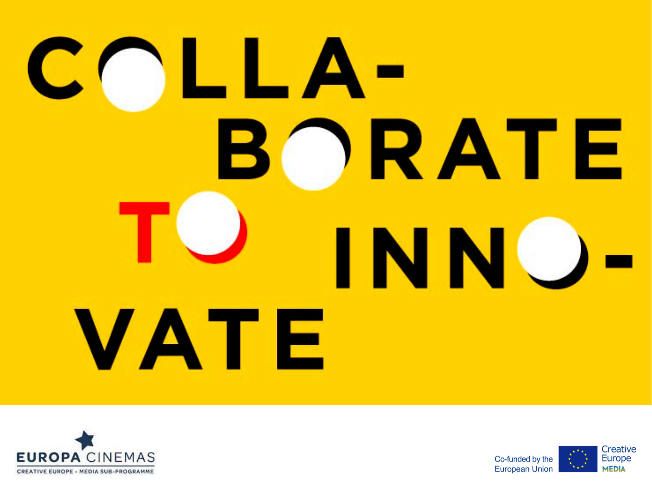# COLLA-**ORATE** INNC VATE



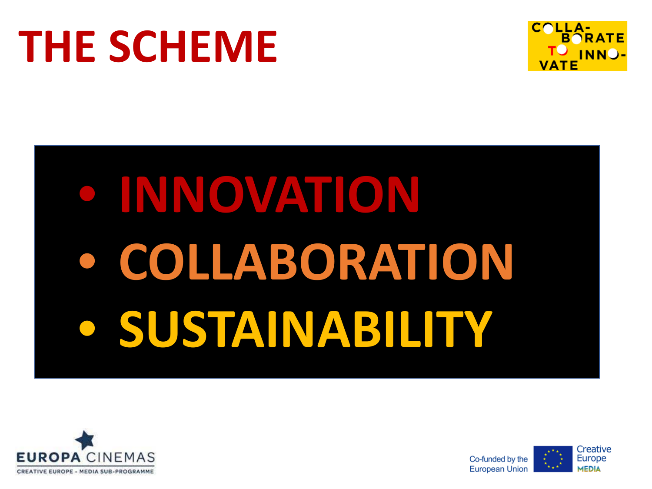#### **THE SCHEME**



## • **INNOVATION** • **COLLABORATION** • **SUSTAINABILITY**





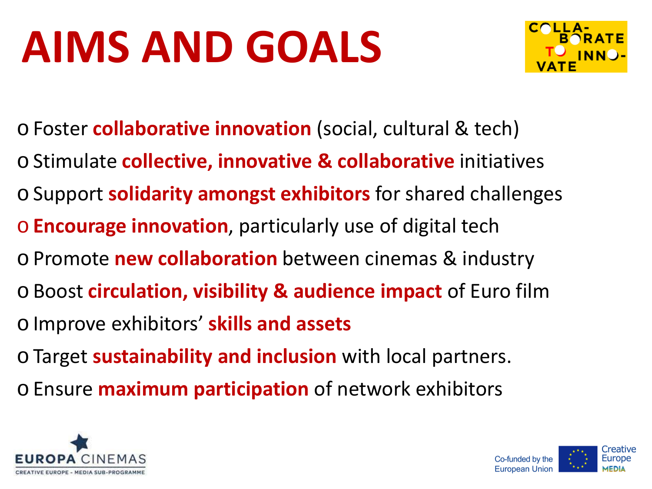#### **AIMS AND GOALS**



- oFoster **collaborative innovation** (social, cultural & tech)
- oStimulate **collective, innovative & collaborative** initiatives
- oSupport **solidarity amongst exhibitors** for shared challenges
- o**Encourage innovation**, particularly use of digital tech
- oPromote **new collaboration** between cinemas & industry
- oBoost **circulation, visibility & audience impact** of Euro film oImprove exhibitors' **skills and assets**
- oTarget **sustainability and inclusion** with local partners.
- oEnsure **maximum participation** of network exhibitors



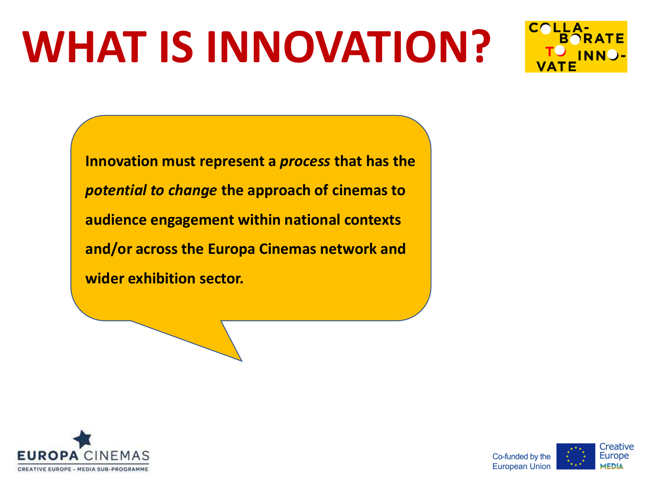#### **WHAT IS INNOVATION?**



**Innovation must represent a** *process* **that has the**  *potential to change* **the approach of cinemas to audience engagement within national contexts and/or across the Europa Cinemas network and wider exhibition sector.**



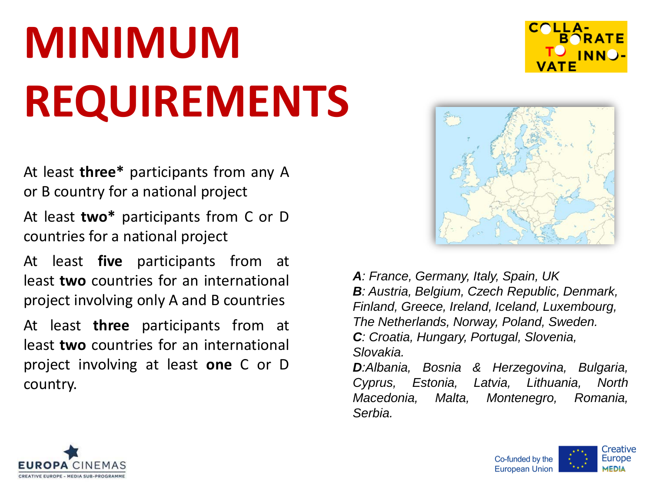#### **MINIMUM REQUIREMENTS**

At least **three\*** participants from any A or B country for a national project

At least **two\*** participants from C or D countries for a national project

At least **five** participants from at least **two** countries for an international project involving only A and B countries

At least **three** participants from at least **two** countries for an international project involving at least **one** C or D country.





*A: France, Germany, Italy, Spain, UK B: Austria, Belgium, Czech Republic, Denmark, Finland, Greece, Ireland, Iceland, Luxembourg, The Netherlands, Norway, Poland, Sweden. C: Croatia, Hungary, Portugal, Slovenia, Slovakia.*

*D:Albania, Bosnia & Herzegovina, Bulgaria, Cyprus, Estonia, Latvia, Lithuania, North Macedonia, Malta, Montenegro, Romania, Serbia.*



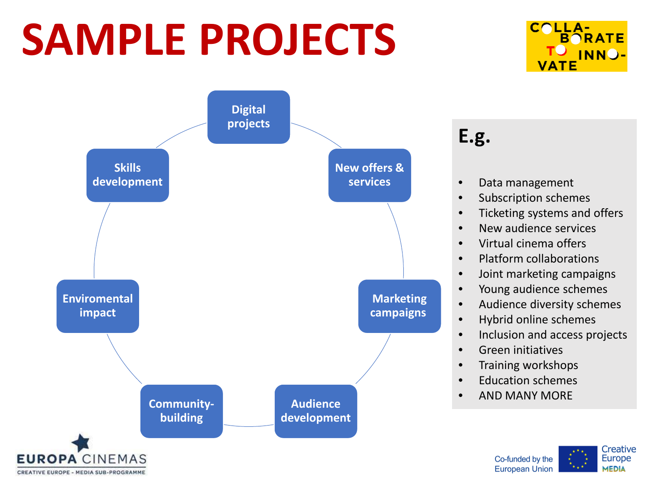#### **SAMPLE PROJECTS**



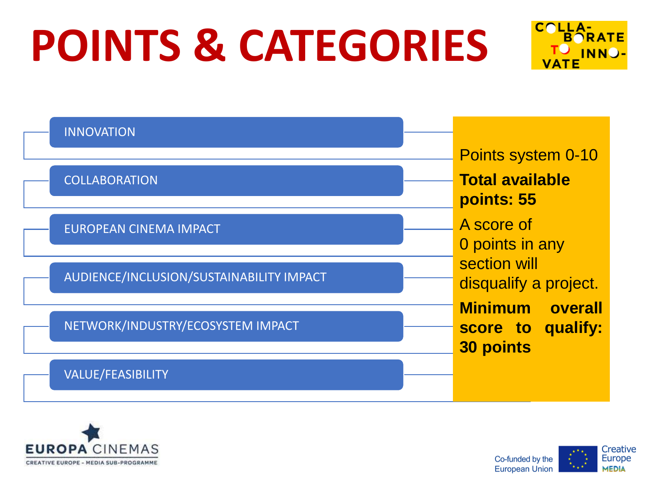#### **POINTS & CATEGORIES**



| <b>INNOVATION</b>                        |                                       |
|------------------------------------------|---------------------------------------|
|                                          | Points system 0-10                    |
| <b>COLLABORATION</b>                     | <b>Total available</b><br>points: 55  |
| <b>EUROPEAN CINEMA IMPACT</b>            | A score of                            |
|                                          | 0 points in any<br>section will       |
| AUDIENCE/INCLUSION/SUSTAINABILITY IMPACT | disqualify a project.                 |
|                                          | <b>Minimum</b><br>overall             |
| NETWORK/INDUSTRY/ECOSYSTEM IMPACT        | score to qualify:<br><b>30 points</b> |
| <b>VALUE/FEASIBILITY</b>                 |                                       |



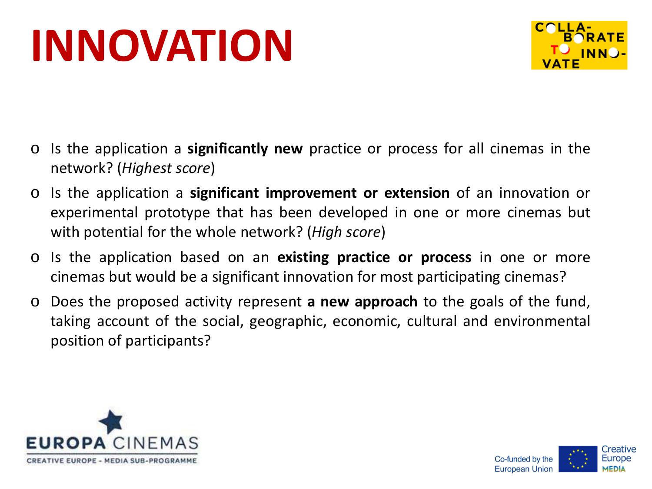#### **INNOVATION**



- o Is the application a **significantly new** practice or process for all cinemas in the network? (*Highest score*)
- o Is the application a **significant improvement or extension** of an innovation or experimental prototype that has been developed in one or more cinemas but with potential for the whole network? (*High score*)
- o Is the application based on an **existing practice or process** in one or more cinemas but would be a significant innovation for most participating cinemas?
- o Does the proposed activity represent **a new approach** to the goals of the fund, taking account of the social, geographic, economic, cultural and environmental position of participants?



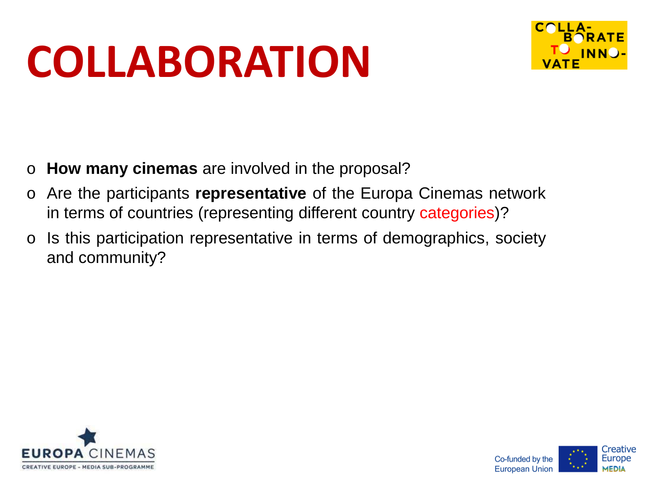#### **COLLABORATION**



- o **How many cinemas** are involved in the proposal?
- o Are the participants **representative** of the Europa Cinemas network in terms of countries (representing different country categories)?
- o Is this participation representative in terms of demographics, society and community?



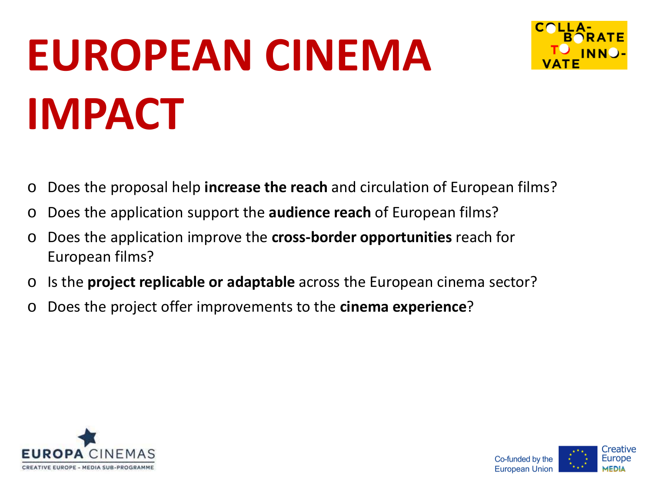#### **EUROPEAN CINEMA IMPACT**



- o Does the proposal help **increase the reach** and circulation of European films?
- o Does the application support the **audience reach** of European films?
- o Does the application improve the **cross-border opportunities** reach for European films?
- o Is the **project replicable or adaptable** across the European cinema sector?
- o Does the project offer improvements to the **cinema experience**?



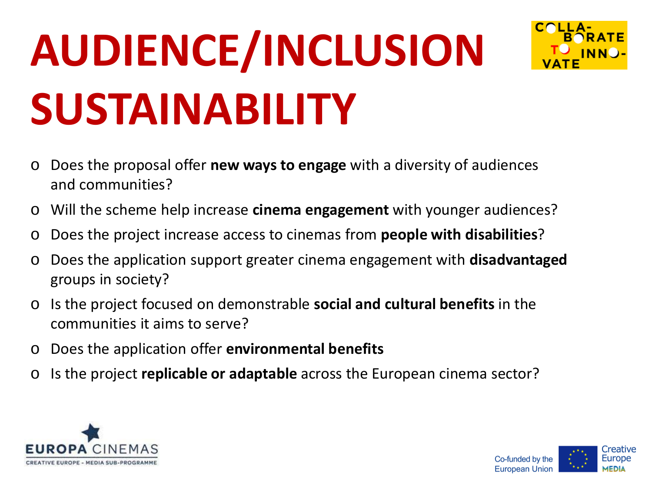## **AUDIENCE/INCLUSION SUSTAINABILITY**



- o Does the proposal offer **new ways to engage** with a diversity of audiences and communities?
- o Will the scheme help increase **cinema engagement** with younger audiences?
- o Does the project increase access to cinemas from **people with disabilities**?
- o Does the application support greater cinema engagement with **disadvantaged**  groups in society?
- o Is the project focused on demonstrable **social and cultural benefits** in the communities it aims to serve?
- o Does the application offer **environmental benefits**
- o Is the project **replicable or adaptable** across the European cinema sector?



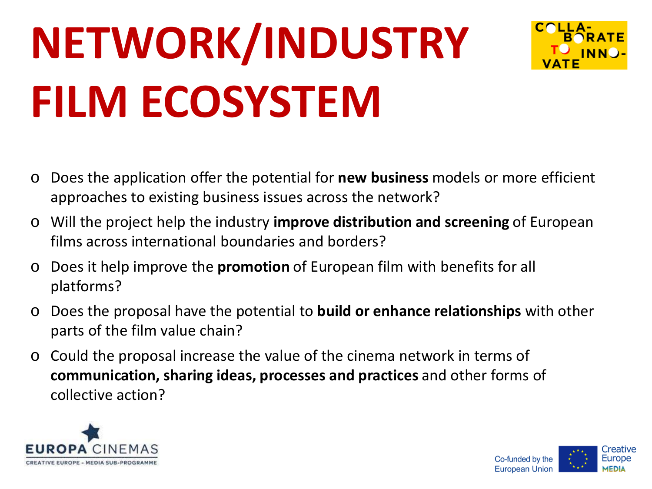### **NETWORK/INDUSTRY FILM ECOSYSTEM**



- o Does the application offer the potential for **new business** models or more efficient approaches to existing business issues across the network?
- o Will the project help the industry **improve distribution and screening** of European films across international boundaries and borders?
- o Does it help improve the **promotion** of European film with benefits for all platforms?
- o Does the proposal have the potential to **build or enhance relationships** with other parts of the film value chain?
- o Could the proposal increase the value of the cinema network in terms of **communication, sharing ideas, processes and practices** and other forms of collective action?



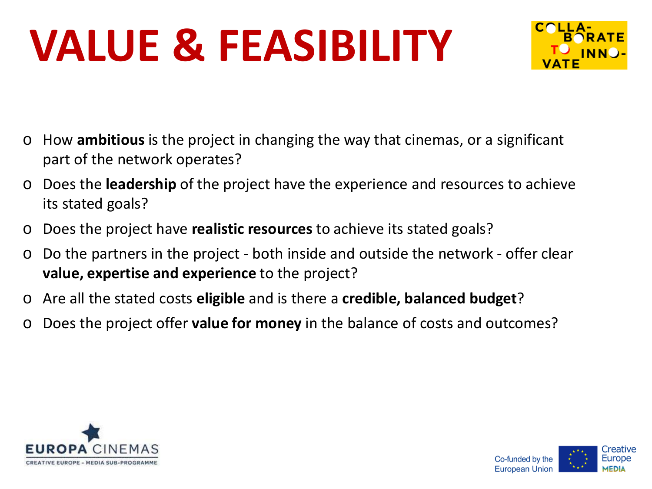#### **VALUE & FEASIBILITY**



- o How **ambitious** is the project in changing the way that cinemas, or a significant part of the network operates?
- Does the **leadership** of the project have the experience and resources to achieve its stated goals?
- o Does the project have **realistic resources** to achieve its stated goals?
- o Do the partners in the project both inside and outside the network offer clear **value, expertise and experience** to the project?
- o Are all the stated costs **eligible** and is there a **credible, balanced budget**?
- Does the project offer **value for money** in the balance of costs and outcomes?



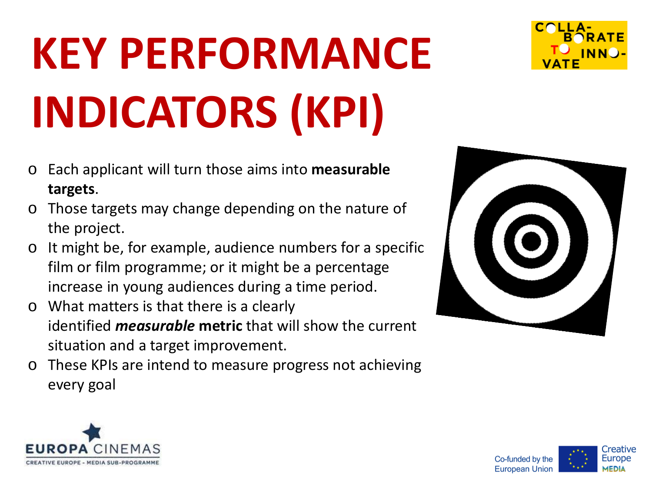### **KEY PERFORMANCE INDICATORS (KPI)**

- o Each applicant will turn those aims into **measurable targets**.
- o Those targets may change depending on the nature of the project.
- o It might be, for example, audience numbers for a specific film or film programme; or it might be a percentage increase in young audiences during a time period.
- o What matters is that there is a clearly identified *measurable* **metric** that will show the current situation and a target improvement.
- o These KPIs are intend to measure progress not achieving every goal







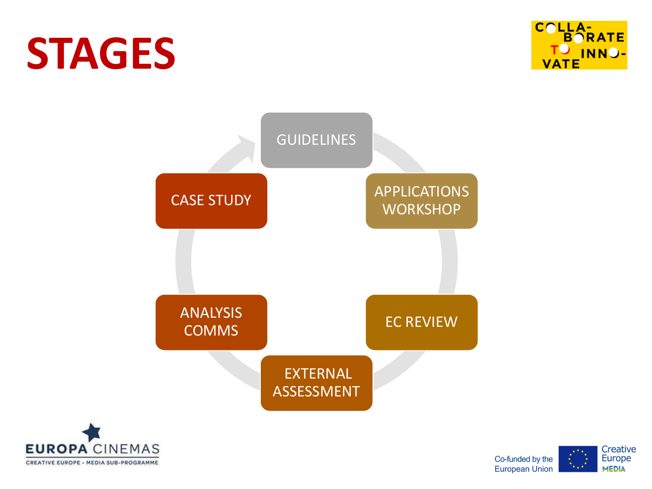#### **STAGES**







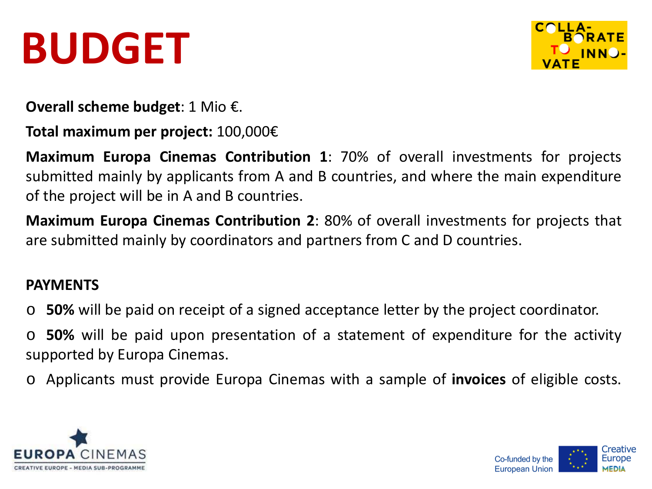#### **BUDGET**



**Overall scheme budget**: 1 Mio €.

**Total maximum per project:** 100,000€

**Maximum Europa Cinemas Contribution 1**: 70% of overall investments for projects submitted mainly by applicants from A and B countries, and where the main expenditure of the project will be in A and B countries.

**Maximum Europa Cinemas Contribution 2**: 80% of overall investments for projects that are submitted mainly by coordinators and partners from C and D countries.

#### **PAYMENTS**

o **50%** will be paid on receipt of a signed acceptance letter by the project coordinator.

o **50%** will be paid upon presentation of a statement of expenditure for the activity supported by Europa Cinemas.

o Applicants must provide Europa Cinemas with a sample of **invoices** of eligible costs.



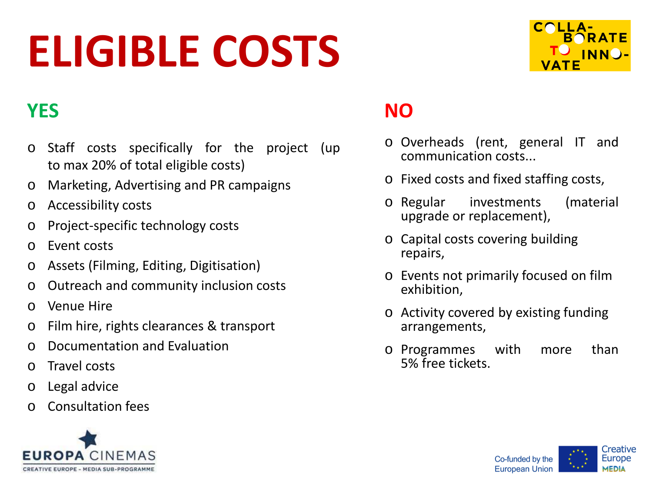#### **ELIGIBLE COSTS**



#### **YES NO**

- o Staff costs specifically for the project (up to max 20% of total eligible costs)
- o Marketing, Advertising and PR campaigns
- o Accessibility costs
- o Project-specific technology costs
- o Event costs
- o Assets (Filming, Editing, Digitisation)
- o Outreach and community inclusion costs
- o Venue Hire
- o Film hire, rights clearances & transport
- o Documentation and Evaluation
- o Travel costs
- o Legal advice
- o Consultation fees



- o Overheads (rent, general IT and communication costs...
- o Fixed costs and fixed staffing costs,
- o Regular investments (material upgrade or replacement),
- o Capital costs covering building repairs,
- o Events not primarily focused on film exhibition,
- o Activity covered by existing funding arrangements,
- o Programmes with more than 5% free tickets.

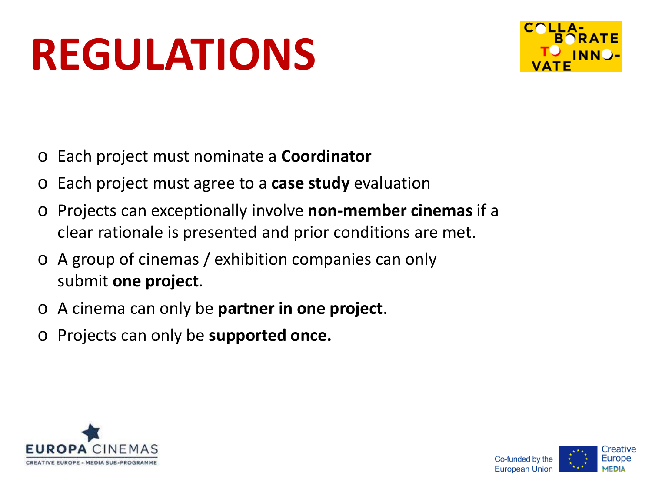#### **REGULATIONS**



- o Each project must nominate a **Coordinator**
- o Each project must agree to a **case study** evaluation
- o Projects can exceptionally involve **non-member cinemas** if a clear rationale is presented and prior conditions are met.
- o A group of cinemas / exhibition companies can only submit **one project**.
- o A cinema can only be **partner in one project**.
- o Projects can only be **supported once.**